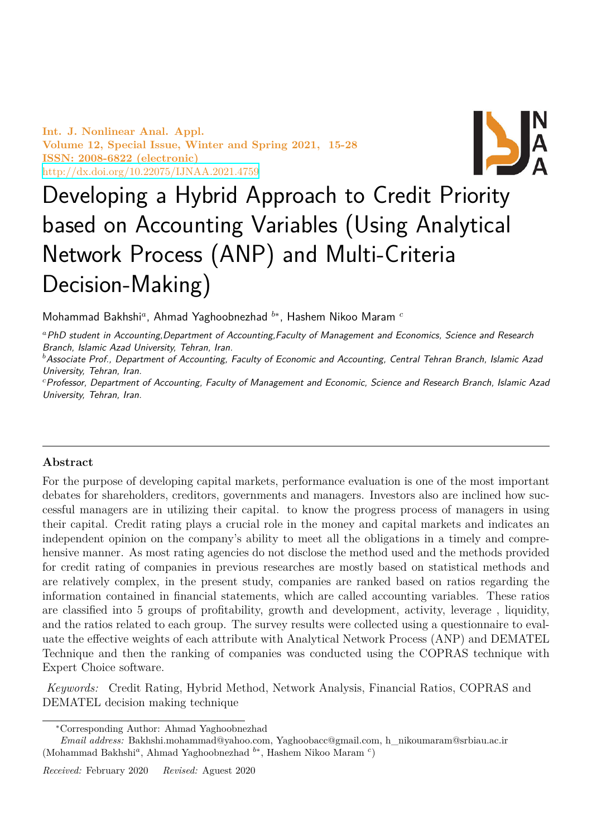**Int. J. Nonlinear Anal. Appl. Volume 12, Special Issue, Winter and Spring 2021, 15-28 ISSN: 2008-6822 (electronic)** http://dx.doi.org/10.22075/IJNAA.2021.4759



# Developing a Hybrid Approach to Credit Priority [based on Accounting V](http://dx.doi.org/10.22075/IJNAA.2021.4759)ariables (Using Analytical Network Process (ANP) and Multi-Criteria Decision-Making)

Mohammad Bakhshi*<sup>a</sup>* , Ahmad Yaghoobnezhad *<sup>b</sup><sup>∗</sup>* , Hashem Nikoo Maram *<sup>c</sup>*

*<sup>a</sup>PhD student in Accounting,Department of Accounting,Faculty of Management and Economics, Science and Research Branch, Islamic Azad University, Tehran, Iran.*

*<sup>b</sup>Associate Prof., Department of Accounting, Faculty of Economic and Accounting, Central Tehran Branch, Islamic Azad University, Tehran, Iran.*

*<sup>c</sup>Professor, Department of Accounting, Faculty of Management and Economic, Science and Research Branch, Islamic Azad University, Tehran, Iran.*

# **Abstract**

For the purpose of developing capital markets, performance evaluation is one of the most important debates for shareholders, creditors, governments and managers. Investors also are inclined how successful managers are in utilizing their capital. to know the progress process of managers in using their capital. Credit rating plays a crucial role in the money and capital markets and indicates an independent opinion on the company's ability to meet all the obligations in a timely and comprehensive manner. As most rating agencies do not disclose the method used and the methods provided for credit rating of companies in previous researches are mostly based on statistical methods and are relatively complex, in the present study, companies are ranked based on ratios regarding the information contained in financial statements, which are called accounting variables. These ratios are classified into 5 groups of profitability, growth and development, activity, leverage , liquidity, and the ratios related to each group. The survey results were collected using a questionnaire to evaluate the effective weights of each attribute with Analytical Network Process (ANP) and DEMATEL Technique and then the ranking of companies was conducted using the COPRAS technique with Expert Choice software.

*Keywords:* Credit Rating, Hybrid Method, Network Analysis, Financial Ratios, COPRAS and DEMATEL decision making technique

*<sup>∗</sup>*Corresponding Author: Ahmad Yaghoobnezhad

*Email address:* Bakhshi.mohammad@yahoo.com, Yaghoobacc@gmail.com, h\_nikoumaram@srbiau.ac.ir (Mohammad Bakhshi*<sup>a</sup>* , Ahmad Yaghoobnezhad *<sup>b</sup><sup>∗</sup>* , Hashem Nikoo Maram *<sup>c</sup>* )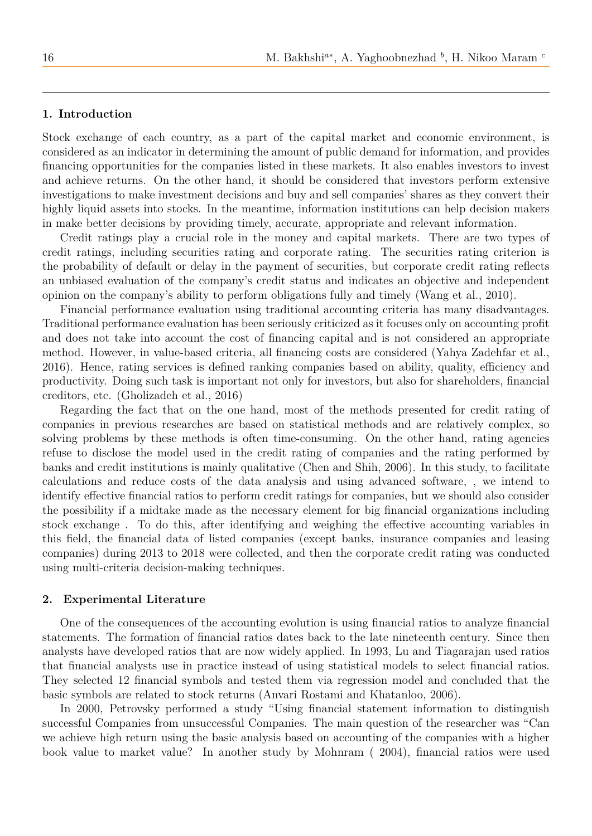## **1. Introduction**

Stock exchange of each country, as a part of the capital market and economic environment, is considered as an indicator in determining the amount of public demand for information, and provides financing opportunities for the companies listed in these markets. It also enables investors to invest and achieve returns. On the other hand, it should be considered that investors perform extensive investigations to make investment decisions and buy and sell companies' shares as they convert their highly liquid assets into stocks. In the meantime, information institutions can help decision makers in make better decisions by providing timely, accurate, appropriate and relevant information.

Credit ratings play a crucial role in the money and capital markets. There are two types of credit ratings, including securities rating and corporate rating. The securities rating criterion is the probability of default or delay in the payment of securities, but corporate credit rating reflects an unbiased evaluation of the company's credit status and indicates an objective and independent opinion on the company's ability to perform obligations fully and timely (Wang et al., 2010).

Financial performance evaluation using traditional accounting criteria has many disadvantages. Traditional performance evaluation has been seriously criticized as it focuses only on accounting profit and does not take into account the cost of financing capital and is not considered an appropriate method. However, in value-based criteria, all financing costs are considered (Yahya Zadehfar et al., 2016). Hence, rating services is defined ranking companies based on ability, quality, efficiency and productivity. Doing such task is important not only for investors, but also for shareholders, financial creditors, etc. (Gholizadeh et al., 2016)

Regarding the fact that on the one hand, most of the methods presented for credit rating of companies in previous researches are based on statistical methods and are relatively complex, so solving problems by these methods is often time-consuming. On the other hand, rating agencies refuse to disclose the model used in the credit rating of companies and the rating performed by banks and credit institutions is mainly qualitative (Chen and Shih, 2006). In this study, to facilitate calculations and reduce costs of the data analysis and using advanced software, , we intend to identify effective financial ratios to perform credit ratings for companies, but we should also consider the possibility if a midtake made as the necessary element for big financial organizations including stock exchange . To do this, after identifying and weighing the effective accounting variables in this field, the financial data of listed companies (except banks, insurance companies and leasing companies) during 2013 to 2018 were collected, and then the corporate credit rating was conducted using multi-criteria decision-making techniques.

### **2. Experimental Literature**

One of the consequences of the accounting evolution is using financial ratios to analyze financial statements. The formation of financial ratios dates back to the late nineteenth century. Since then analysts have developed ratios that are now widely applied. In 1993, Lu and Tiagarajan used ratios that financial analysts use in practice instead of using statistical models to select financial ratios. They selected 12 financial symbols and tested them via regression model and concluded that the basic symbols are related to stock returns (Anvari Rostami and Khatanloo, 2006).

In 2000, Petrovsky performed a study "Using financial statement information to distinguish successful Companies from unsuccessful Companies. The main question of the researcher was "Can we achieve high return using the basic analysis based on accounting of the companies with a higher book value to market value? In another study by Mohnram ( 2004), financial ratios were used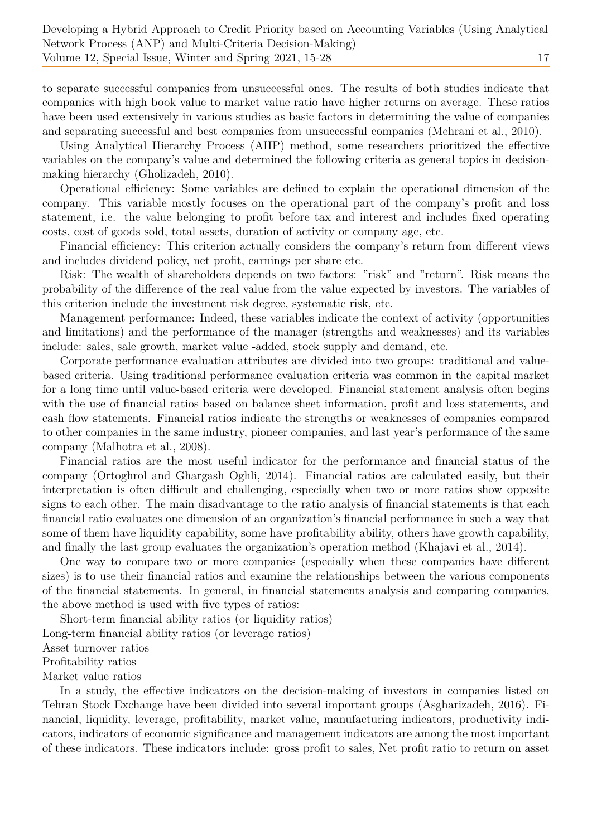to separate successful companies from unsuccessful ones. The results of both studies indicate that companies with high book value to market value ratio have higher returns on average. These ratios have been used extensively in various studies as basic factors in determining the value of companies and separating successful and best companies from unsuccessful companies (Mehrani et al., 2010).

Using Analytical Hierarchy Process (AHP) method, some researchers prioritized the effective variables on the company's value and determined the following criteria as general topics in decisionmaking hierarchy (Gholizadeh, 2010).

Operational efficiency: Some variables are defined to explain the operational dimension of the company. This variable mostly focuses on the operational part of the company's profit and loss statement, i.e. the value belonging to profit before tax and interest and includes fixed operating costs, cost of goods sold, total assets, duration of activity or company age, etc.

Financial efficiency: This criterion actually considers the company's return from different views and includes dividend policy, net profit, earnings per share etc.

Risk: The wealth of shareholders depends on two factors: "risk" and "return". Risk means the probability of the difference of the real value from the value expected by investors. The variables of this criterion include the investment risk degree, systematic risk, etc.

Management performance: Indeed, these variables indicate the context of activity (opportunities and limitations) and the performance of the manager (strengths and weaknesses) and its variables include: sales, sale growth, market value -added, stock supply and demand, etc.

Corporate performance evaluation attributes are divided into two groups: traditional and valuebased criteria. Using traditional performance evaluation criteria was common in the capital market for a long time until value-based criteria were developed. Financial statement analysis often begins with the use of financial ratios based on balance sheet information, profit and loss statements, and cash flow statements. Financial ratios indicate the strengths or weaknesses of companies compared to other companies in the same industry, pioneer companies, and last year's performance of the same company (Malhotra et al., 2008).

Financial ratios are the most useful indicator for the performance and financial status of the company (Ortoghrol and Ghargash Oghli, 2014). Financial ratios are calculated easily, but their interpretation is often difficult and challenging, especially when two or more ratios show opposite signs to each other. The main disadvantage to the ratio analysis of financial statements is that each financial ratio evaluates one dimension of an organization's financial performance in such a way that some of them have liquidity capability, some have profitability ability, others have growth capability, and finally the last group evaluates the organization's operation method (Khajavi et al., 2014).

One way to compare two or more companies (especially when these companies have different sizes) is to use their financial ratios and examine the relationships between the various components of the financial statements. In general, in financial statements analysis and comparing companies, the above method is used with five types of ratios:

Short-term financial ability ratios (or liquidity ratios) Long-term financial ability ratios (or leverage ratios) Asset turnover ratios Profitability ratios Market value ratios

In a study, the effective indicators on the decision-making of investors in companies listed on Tehran Stock Exchange have been divided into several important groups (Asgharizadeh, 2016). Financial, liquidity, leverage, profitability, market value, manufacturing indicators, productivity indicators, indicators of economic significance and management indicators are among the most important of these indicators. These indicators include: gross profit to sales, Net profit ratio to return on asset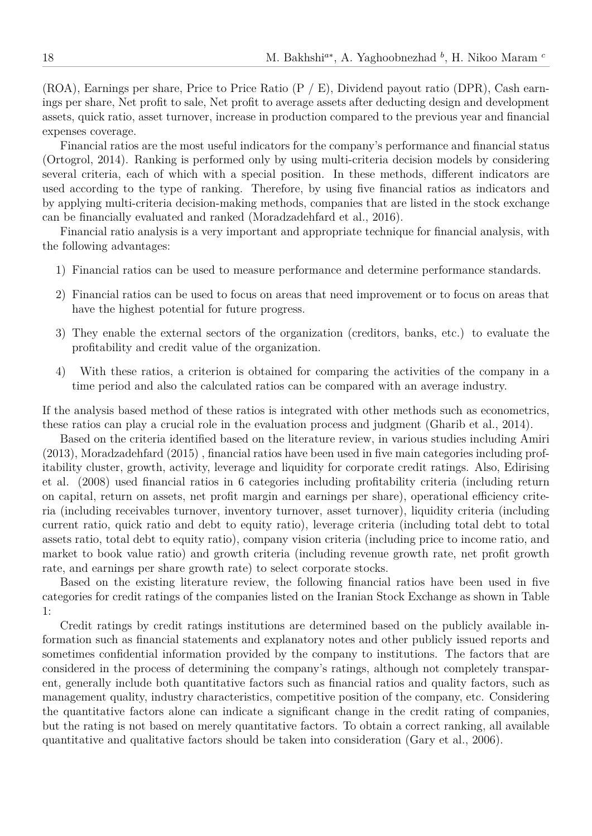(ROA), Earnings per share, Price to Price Ratio (P / E), Dividend payout ratio (DPR), Cash earnings per share, Net profit to sale, Net profit to average assets after deducting design and development assets, quick ratio, asset turnover, increase in production compared to the previous year and financial expenses coverage.

Financial ratios are the most useful indicators for the company's performance and financial status (Ortogrol, 2014). Ranking is performed only by using multi-criteria decision models by considering several criteria, each of which with a special position. In these methods, different indicators are used according to the type of ranking. Therefore, by using five financial ratios as indicators and by applying multi-criteria decision-making methods, companies that are listed in the stock exchange can be financially evaluated and ranked (Moradzadehfard et al., 2016).

Financial ratio analysis is a very important and appropriate technique for financial analysis, with the following advantages:

- 1) Financial ratios can be used to measure performance and determine performance standards.
- 2) Financial ratios can be used to focus on areas that need improvement or to focus on areas that have the highest potential for future progress.
- 3) They enable the external sectors of the organization (creditors, banks, etc.) to evaluate the profitability and credit value of the organization.
- 4) With these ratios, a criterion is obtained for comparing the activities of the company in a time period and also the calculated ratios can be compared with an average industry.

If the analysis based method of these ratios is integrated with other methods such as econometrics, these ratios can play a crucial role in the evaluation process and judgment (Gharib et al., 2014).

Based on the criteria identified based on the literature review, in various studies including Amiri (2013), Moradzadehfard (2015) , financial ratios have been used in five main categories including profitability cluster, growth, activity, leverage and liquidity for corporate credit ratings. Also, Edirising et al. (2008) used financial ratios in 6 categories including profitability criteria (including return on capital, return on assets, net profit margin and earnings per share), operational efficiency criteria (including receivables turnover, inventory turnover, asset turnover), liquidity criteria (including current ratio, quick ratio and debt to equity ratio), leverage criteria (including total debt to total assets ratio, total debt to equity ratio), company vision criteria (including price to income ratio, and market to book value ratio) and growth criteria (including revenue growth rate, net profit growth rate, and earnings per share growth rate) to select corporate stocks.

Based on the existing literature review, the following financial ratios have been used in five categories for credit ratings of the companies listed on the Iranian Stock Exchange as shown in Table 1:

Credit ratings by credit ratings institutions are determined based on the publicly available information such as financial statements and explanatory notes and other publicly issued reports and sometimes confidential information provided by the company to institutions. The factors that are considered in the process of determining the company's ratings, although not completely transparent, generally include both quantitative factors such as financial ratios and quality factors, such as management quality, industry characteristics, competitive position of the company, etc. Considering the quantitative factors alone can indicate a significant change in the credit rating of companies, but the rating is not based on merely quantitative factors. To obtain a correct ranking, all available quantitative and qualitative factors should be taken into consideration (Gary et al., 2006).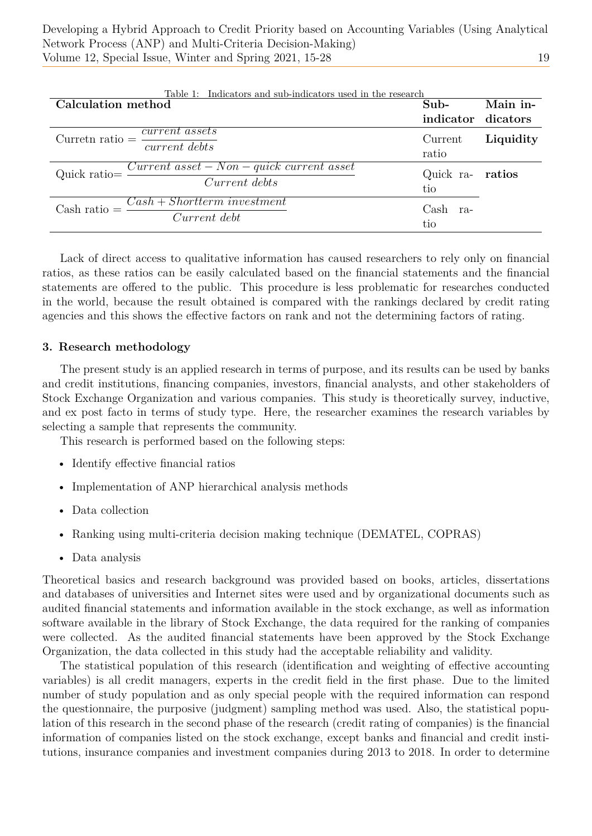| Table 1: Indicators and sub-indicators used in the research                                 |                         |           |  |  |
|---------------------------------------------------------------------------------------------|-------------------------|-----------|--|--|
| <b>Calculation method</b>                                                                   | Sub-                    | Main in-  |  |  |
|                                                                                             | indicator dicators      |           |  |  |
| $\frac{current \; assets}{\;}$<br>$Currentn ratio =$<br>$\overline{current \text{ } debts}$ | Current<br>ratio        | Liquidity |  |  |
| $Current\; asset - Non-quick\; current\; asset$<br>$Quick ratio =$<br>Current debts         | Quick ra- ratios<br>tio |           |  |  |
| $Cash + Shortterm\ investment$<br>Cash ratio $=$<br>Current debt                            | Cash<br>ra-<br>tio      |           |  |  |

Lack of direct access to qualitative information has caused researchers to rely only on financial ratios, as these ratios can be easily calculated based on the financial statements and the financial statements are offered to the public. This procedure is less problematic for researches conducted in the world, because the result obtained is compared with the rankings declared by credit rating agencies and this shows the effective factors on rank and not the determining factors of rating.

# **3. Research methodology**

The present study is an applied research in terms of purpose, and its results can be used by banks and credit institutions, financing companies, investors, financial analysts, and other stakeholders of Stock Exchange Organization and various companies. This study is theoretically survey, inductive, and ex post facto in terms of study type. Here, the researcher examines the research variables by selecting a sample that represents the community.

This research is performed based on the following steps:

- Identify effective financial ratios
- Implementation of ANP hierarchical analysis methods
- Data collection
- Ranking using multi-criteria decision making technique (DEMATEL, COPRAS)
- Data analysis

Theoretical basics and research background was provided based on books, articles, dissertations and databases of universities and Internet sites were used and by organizational documents such as audited financial statements and information available in the stock exchange, as well as information software available in the library of Stock Exchange, the data required for the ranking of companies were collected. As the audited financial statements have been approved by the Stock Exchange Organization, the data collected in this study had the acceptable reliability and validity.

The statistical population of this research (identification and weighting of effective accounting variables) is all credit managers, experts in the credit field in the first phase. Due to the limited number of study population and as only special people with the required information can respond the questionnaire, the purposive (judgment) sampling method was used. Also, the statistical population of this research in the second phase of the research (credit rating of companies) is the financial information of companies listed on the stock exchange, except banks and financial and credit institutions, insurance companies and investment companies during 2013 to 2018. In order to determine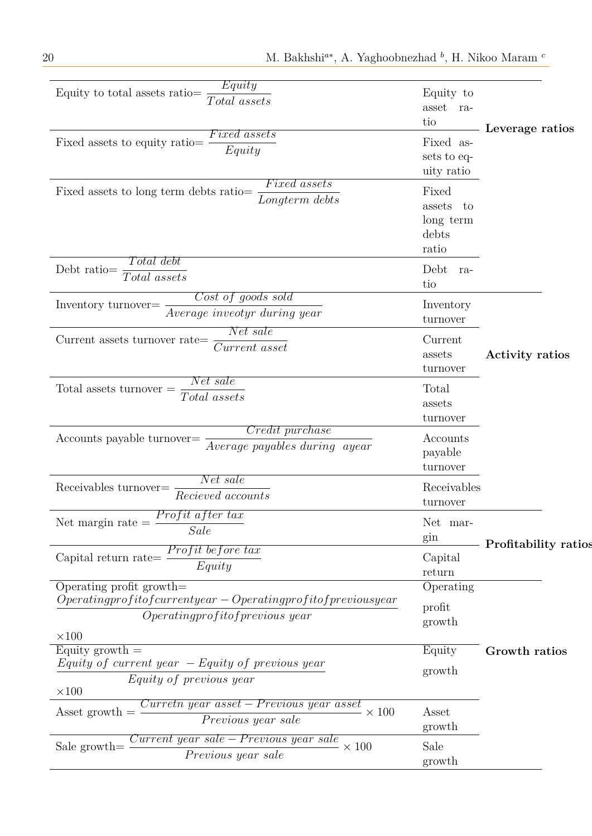| Equity                                                                 |              |                        |
|------------------------------------------------------------------------|--------------|------------------------|
| Equity to total assets ratio<br>Total assets                           | Equity to    |                        |
|                                                                        | asset ra-    |                        |
| <i>Fixed assets</i>                                                    | tio          | Leverage ratios        |
| Fixed assets to equity ratio                                           | Fixed as-    |                        |
| Equity                                                                 | sets to eq-  |                        |
|                                                                        | uity ratio   |                        |
| <i>Fixed assets</i><br>Fixed assets to long term debts ratio=          | Fixed        |                        |
| Longterm debts                                                         | assets<br>to |                        |
|                                                                        | long term    |                        |
|                                                                        | debts        |                        |
|                                                                        | ratio        |                        |
| Total debt<br>Debt ratio=                                              | Debt<br>ra-  |                        |
| Total assets                                                           | tio          |                        |
| Cost of goods sold                                                     |              |                        |
| Inventory turnover=<br>Average inveotyr during year                    | Inventory    |                        |
| Net sale                                                               | turnover     |                        |
| Current assets turnover rate=<br>Current asset                         | Current      |                        |
|                                                                        | assets       | <b>Activity ratios</b> |
|                                                                        | turnover     |                        |
| Net sale<br>$Total$ assets turnover $=$                                | Total        |                        |
| Total assets                                                           | assets       |                        |
|                                                                        | turnover     |                        |
| <i>Credit purchase</i><br>Accounts payable turnover=                   | Accounts     |                        |
| Average payables during ayear                                          | payable      |                        |
|                                                                        | turnover     |                        |
| Net sale<br>Receivables turnover=                                      | Receivables  |                        |
| Recieved accounts                                                      | turnover     |                        |
| <i>Profit after tax</i>                                                |              |                        |
| Net margin rate $\, =$<br>Sale                                         | Net mar-     |                        |
|                                                                        | gin          | Profitability ratios   |
| <i>Profit before tax</i><br>Capital return rate=                       | Capital      |                        |
| Equity                                                                 | return       |                        |
| Operating profit growth=                                               | Operating    |                        |
| $Operating profit of current year - Operating profit of previous year$ | profit       |                        |
| Operating profit of previous year                                      | growth       |                        |
| $\times 100$                                                           |              |                        |
| Equity growth $=$                                                      | Equity       | Growth ratios          |
| $Equity of current year - Equity of previous year$                     | growth       |                        |
| Equity of previous year                                                |              |                        |
| $\times 100$<br><u>Curretn year asset – Previous year asset</u>        |              |                        |
| Asset growth $=$<br>$\times$ 100                                       | Asset        |                        |
| Previous year sale                                                     | growth       |                        |
| Current year sale – Previous year sale<br>$\times$ 100<br>Sale growth= | Sale         |                        |
| Previous year sale                                                     | growth       |                        |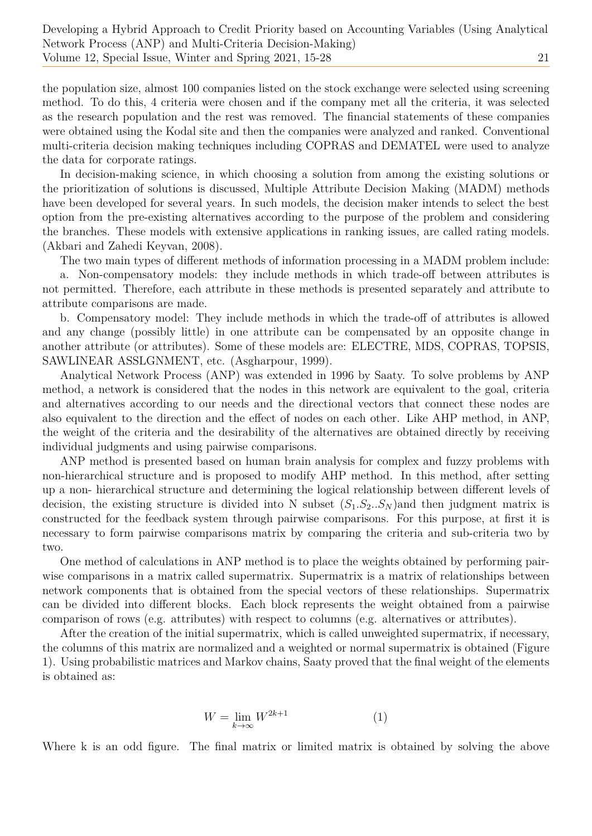the population size, almost 100 companies listed on the stock exchange were selected using screening method. To do this, 4 criteria were chosen and if the company met all the criteria, it was selected as the research population and the rest was removed. The financial statements of these companies were obtained using the Kodal site and then the companies were analyzed and ranked. Conventional multi-criteria decision making techniques including COPRAS and DEMATEL were used to analyze the data for corporate ratings.

In decision-making science, in which choosing a solution from among the existing solutions or the prioritization of solutions is discussed, Multiple Attribute Decision Making (MADM) methods have been developed for several years. In such models, the decision maker intends to select the best option from the pre-existing alternatives according to the purpose of the problem and considering the branches. These models with extensive applications in ranking issues, are called rating models. (Akbari and Zahedi Keyvan, 2008).

The two main types of different methods of information processing in a MADM problem include: a. Non-compensatory models: they include methods in which trade-off between attributes is not permitted. Therefore, each attribute in these methods is presented separately and attribute to

attribute comparisons are made.

b. Compensatory model: They include methods in which the trade-off of attributes is allowed and any change (possibly little) in one attribute can be compensated by an opposite change in another attribute (or attributes). Some of these models are: ELECTRE, MDS, COPRAS, TOPSIS, SAWLINEAR ASSLGNMENT, etc. (Asgharpour, 1999).

Analytical Network Process (ANP) was extended in 1996 by Saaty. To solve problems by ANP method, a network is considered that the nodes in this network are equivalent to the goal, criteria and alternatives according to our needs and the directional vectors that connect these nodes are also equivalent to the direction and the effect of nodes on each other. Like AHP method, in ANP, the weight of the criteria and the desirability of the alternatives are obtained directly by receiving individual judgments and using pairwise comparisons.

ANP method is presented based on human brain analysis for complex and fuzzy problems with non-hierarchical structure and is proposed to modify AHP method. In this method, after setting up a non- hierarchical structure and determining the logical relationship between different levels of decision, the existing structure is divided into N subset  $(S_1.S_2.S_N)$  and then judgment matrix is constructed for the feedback system through pairwise comparisons. For this purpose, at first it is necessary to form pairwise comparisons matrix by comparing the criteria and sub-criteria two by two.

One method of calculations in ANP method is to place the weights obtained by performing pairwise comparisons in a matrix called supermatrix. Supermatrix is a matrix of relationships between network components that is obtained from the special vectors of these relationships. Supermatrix can be divided into different blocks. Each block represents the weight obtained from a pairwise comparison of rows (e.g. attributes) with respect to columns (e.g. alternatives or attributes).

After the creation of the initial supermatrix, which is called unweighted supermatrix, if necessary, the columns of this matrix are normalized and a weighted or normal supermatrix is obtained (Figure 1). Using probabilistic matrices and Markov chains, Saaty proved that the final weight of the elements is obtained as:

$$
W = \lim_{k \to \infty} W^{2k+1} \tag{1}
$$

Where k is an odd figure. The final matrix or limited matrix is obtained by solving the above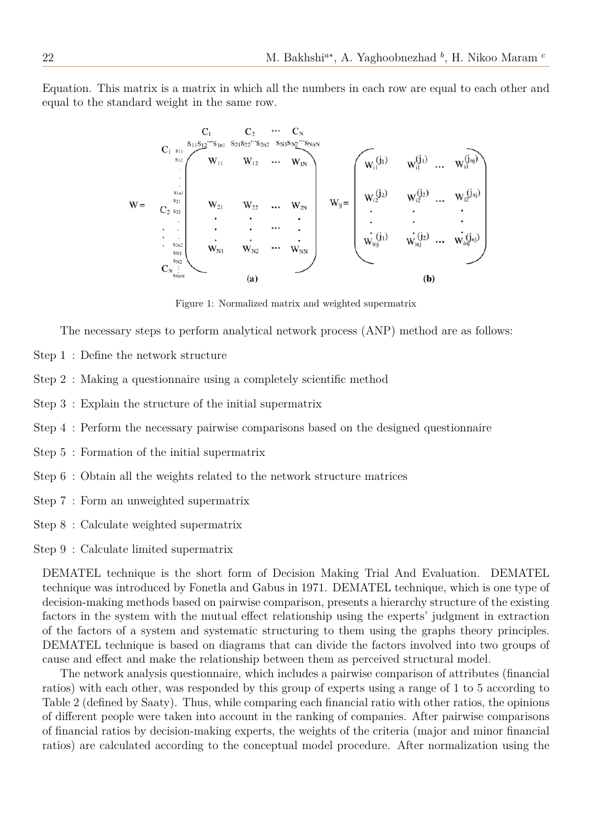Equation. This matrix is a matrix in which all the numbers in each row are equal to each other and equal to the standard weight in the same row.

$$
W = \n\begin{bmatrix}\nC_1 & C_2 & \cdots & C_N \\
C_1 & s_{11}S_{12} \cdots s_{1n1} & S_{21}S_{22} \cdots s_{2n2} & S_{N1}S_{N2} \cdots S_{NnN} \\
\vdots & \vdots & \ddots & \vdots \\
C_2 & s_{22} & \vdots & \vdots \\
\vdots & \vdots & \vdots & \vdots \\
S_{N1} & W_{N1} & W_{N2} & \cdots & W_{NN}\n\end{bmatrix}\n\qquad\nW_{ij} = \n\begin{bmatrix}\nW_{i1}^{(j_1)} & W_{i1}^{(j_1)} & \cdots & W_{i1}^{(j_n)} \\
W_{i2}^{(j_2)} & W_{i2}^{(j_2)} & \cdots & W_{i2}^{(j_n)} \\
\vdots & \vdots & \vdots \\
W_{i1}^{(j_1)} & W_{i2}^{(j_2)} & \cdots & W_{i2}^{(j_n)}\n\end{bmatrix}
$$
\n
$$
C_{N} = \n\begin{bmatrix}\nW_{i1}^{(j_1)} & W_{i1}^{(j_1)} & \cdots & W_{i1}^{(j_n)} \\
\vdots & \vdots & \vdots & \vdots \\
W_{i1}^{(j_1)} & W_{i2}^{(j_2)} & \cdots & W_{i2}^{(j_n)} \\
\vdots & \vdots & \vdots & \vdots \\
W_{i1}^{(j_1)} & W_{i1}^{(j_2)} & \cdots & W_{i2}^{(j_n)}\n\end{bmatrix}
$$
\n
$$
C_{N} = \n\begin{bmatrix}\nW_{11} & W_{12} & \cdots & W_{2N} \\
\vdots & \vdots & \vdots & \vdots \\
W_{N}^{(j_1)} & W_{N}^{(j_2)} & \cdots & W_{N}^{(j_n)} \\
\vdots & \vdots & \vdots & \vdots \\
W_{N}^{(j_1)} & W_{N}^{(j_2)} &
$$

Figure 1: Normalized matrix and weighted supermatrix

The necessary steps to perform analytical network process (ANP) method are as follows:

- Step 1 : Define the network structure
- Step 2 : Making a questionnaire using a completely scientific method
- Step 3 : Explain the structure of the initial supermatrix
- Step 4 : Perform the necessary pairwise comparisons based on the designed questionnaire
- Step 5 : Formation of the initial supermatrix
- Step 6 : Obtain all the weights related to the network structure matrices
- Step 7 : Form an unweighted supermatrix
- Step 8 : Calculate weighted supermatrix
- Step 9 : Calculate limited supermatrix

DEMATEL technique is the short form of Decision Making Trial And Evaluation. DEMATEL technique was introduced by Fonetla and Gabus in 1971. DEMATEL technique, which is one type of decision-making methods based on pairwise comparison, presents a hierarchy structure of the existing factors in the system with the mutual effect relationship using the experts' judgment in extraction of the factors of a system and systematic structuring to them using the graphs theory principles. DEMATEL technique is based on diagrams that can divide the factors involved into two groups of cause and effect and make the relationship between them as perceived structural model.

The network analysis questionnaire, which includes a pairwise comparison of attributes (financial ratios) with each other, was responded by this group of experts using a range of 1 to 5 according to Table 2 (defined by Saaty). Thus, while comparing each financial ratio with other ratios, the opinions of different people were taken into account in the ranking of companies. After pairwise comparisons of financial ratios by decision-making experts, the weights of the criteria (major and minor financial ratios) are calculated according to the conceptual model procedure. After normalization using the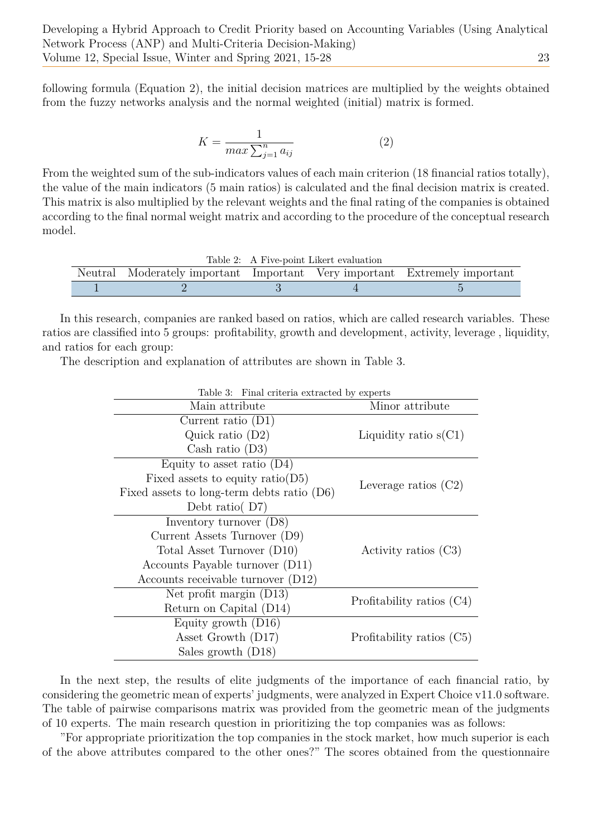following formula (Equation 2), the initial decision matrices are multiplied by the weights obtained from the fuzzy networks analysis and the normal weighted (initial) matrix is formed.

$$
K = \frac{1}{\max \sum_{j=1}^{n} a_{ij}}\tag{2}
$$

From the weighted sum of the sub-indicators values of each main criterion (18 financial ratios totally), the value of the main indicators (5 main ratios) is calculated and the final decision matrix is created. This matrix is also multiplied by the relevant weights and the final rating of the companies is obtained according to the final normal weight matrix and according to the procedure of the conceptual research model.

|                                                                           | Table 2: A Five-point Likert evaluation |  |  |  |
|---------------------------------------------------------------------------|-----------------------------------------|--|--|--|
| Neutral Moderately important Important Very important Extremely important |                                         |  |  |  |
|                                                                           |                                         |  |  |  |

In this research, companies are ranked based on ratios, which are called research variables. These ratios are classified into 5 groups: profitability, growth and development, activity, leverage , liquidity, and ratios for each group:

The description and explanation of attributes are shown in Table 3.

| Table 3: Final criteria extracted by experts |                           |  |  |  |
|----------------------------------------------|---------------------------|--|--|--|
| Main attribute                               | Minor attribute           |  |  |  |
| Current ratio $(D1)$                         |                           |  |  |  |
| Quick ratio $(D2)$                           | Liquidity ratio $s(Cl)$   |  |  |  |
| Cash ratio $(D3)$                            |                           |  |  |  |
| Equity to asset ratio $(D4)$                 |                           |  |  |  |
| Fixed assets to equity ratio( $D5$ )         |                           |  |  |  |
| Fixed assets to long-term debts ratio $(D6)$ | Leverage ratios $(C2)$    |  |  |  |
| Debt ratio( $D7$ )                           |                           |  |  |  |
| Inventory turnover $(D8)$                    |                           |  |  |  |
| Current Assets Turnover (D9)                 |                           |  |  |  |
| Total Asset Turnover (D10)                   | Activity ratios $(C3)$    |  |  |  |
| Accounts Payable turnover (D11)              |                           |  |  |  |
| Accounts receivable turnover (D12)           |                           |  |  |  |
| Net profit margin $(D13)$                    |                           |  |  |  |
| Return on Capital (D14)                      | Profitability ratios (C4) |  |  |  |
| Equity growth $(D16)$                        |                           |  |  |  |
| Asset Growth (D17)                           | Profitability ratios (C5) |  |  |  |
| Sales growth (D18)                           |                           |  |  |  |

In the next step, the results of elite judgments of the importance of each financial ratio, by considering the geometric mean of experts' judgments, were analyzed in Expert Choice v11.0 software. The table of pairwise comparisons matrix was provided from the geometric mean of the judgments of 10 experts. The main research question in prioritizing the top companies was as follows:

"For appropriate prioritization the top companies in the stock market, how much superior is each of the above attributes compared to the other ones?" The scores obtained from the questionnaire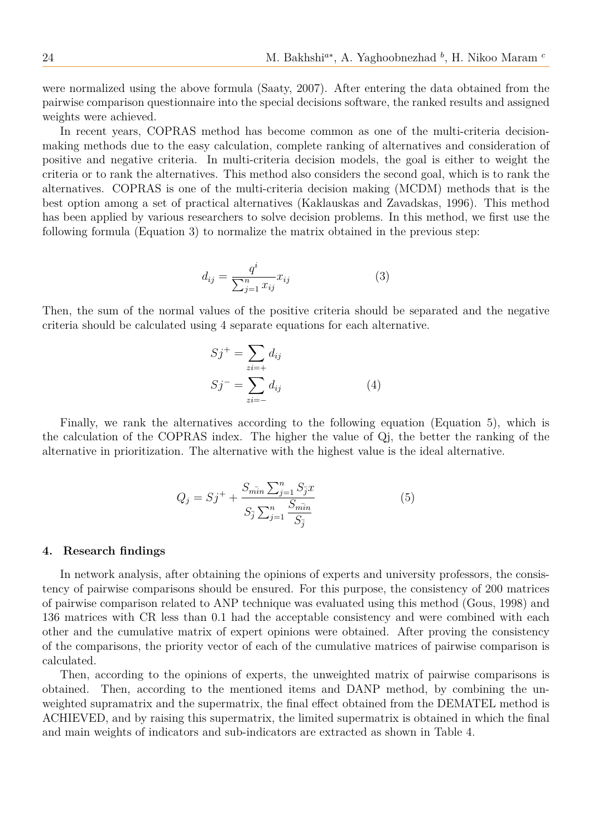were normalized using the above formula (Saaty, 2007). After entering the data obtained from the pairwise comparison questionnaire into the special decisions software, the ranked results and assigned weights were achieved.

In recent years, COPRAS method has become common as one of the multi-criteria decisionmaking methods due to the easy calculation, complete ranking of alternatives and consideration of positive and negative criteria. In multi-criteria decision models, the goal is either to weight the criteria or to rank the alternatives. This method also considers the second goal, which is to rank the alternatives. COPRAS is one of the multi-criteria decision making (MCDM) methods that is the best option among a set of practical alternatives (Kaklauskas and Zavadskas, 1996). This method has been applied by various researchers to solve decision problems. In this method, we first use the following formula (Equation 3) to normalize the matrix obtained in the previous step:

$$
d_{ij} = \frac{q^i}{\sum_{j=1}^n x_{ij}} x_{ij}
$$
 (3)

Then, the sum of the normal values of the positive criteria should be separated and the negative criteria should be calculated using 4 separate equations for each alternative.

$$
Sj^{+} = \sum_{zi=+} d_{ij}
$$
  
\n
$$
Sj^{-} = \sum_{zi=-} d_{ij}
$$
 (4)

Finally, we rank the alternatives according to the following equation (Equation 5), which is the calculation of the COPRAS index. The higher the value of Qj, the better the ranking of the alternative in prioritization. The alternative with the highest value is the ideal alternative.

$$
Q_j = Sj^+ + \frac{S_{m\bar{i}n} \sum_{j=1}^n S_{\bar{j}} x}{S_{\bar{j}} \sum_{j=1}^n \frac{S_{m\bar{i}n}}{S_{\bar{j}}}}
$$
(5)

#### **4. Research findings**

In network analysis, after obtaining the opinions of experts and university professors, the consistency of pairwise comparisons should be ensured. For this purpose, the consistency of 200 matrices of pairwise comparison related to ANP technique was evaluated using this method (Gous, 1998) and 136 matrices with CR less than 0.1 had the acceptable consistency and were combined with each other and the cumulative matrix of expert opinions were obtained. After proving the consistency of the comparisons, the priority vector of each of the cumulative matrices of pairwise comparison is calculated.

Then, according to the opinions of experts, the unweighted matrix of pairwise comparisons is obtained. Then, according to the mentioned items and DANP method, by combining the unweighted supramatrix and the supermatrix, the final effect obtained from the DEMATEL method is ACHIEVED, and by raising this supermatrix, the limited supermatrix is obtained in which the final and main weights of indicators and sub-indicators are extracted as shown in Table 4.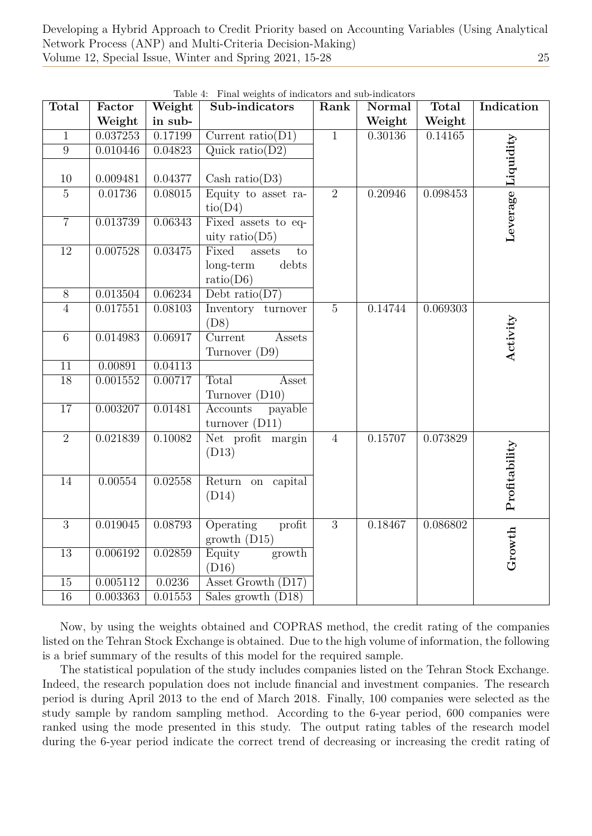Developing a Hybrid Approach to Credit Priority based on Accounting Variables (Using Analytical Network Process (ANP) and Multi-Criteria Decision-Making) Volume 12, Special Issue, Winter and Spring 2021, 15-28 25

| <b>Total</b>    | Factor   | Weight  | Sub-indicators                   | Rank           | <b>Normal</b> | <b>Total</b> | Indication         |  |
|-----------------|----------|---------|----------------------------------|----------------|---------------|--------------|--------------------|--|
|                 | Weight   | in sub- |                                  |                | Weight        | Weight       |                    |  |
| $\mathbf{1}$    | 0.037253 | 0.17199 | Current ratio( $\overline{D1}$ ) | $\overline{1}$ | 0.30136       |              | 0.14165            |  |
| $\overline{9}$  | 0.010446 | 0.04823 | Quick ratio(D2)                  |                |               |              | Leverage Liquidity |  |
|                 |          |         |                                  |                |               |              |                    |  |
| $10\,$          | 0.009481 | 0.04377 | Cash ratio( $D3$ )               |                |               |              |                    |  |
| $\overline{5}$  | 0.01736  | 0.08015 | Equity to asset ra-              | $\overline{2}$ | 0.20946       | 0.098453     |                    |  |
|                 |          |         | tio(D4)                          |                |               |              |                    |  |
| $\overline{7}$  | 0.013739 | 0.06343 | Fixed assets to eq-              |                |               |              |                    |  |
|                 |          |         | uity ratio( $D5$ )               |                |               |              |                    |  |
| $\overline{12}$ | 0.007528 | 0.03475 | Fixed<br>to<br>assets            |                |               |              |                    |  |
|                 |          |         | long-term<br>debts               |                |               |              |                    |  |
|                 |          |         | ratio(D6)                        |                |               |              |                    |  |
| $\overline{8}$  | 0.013504 | 0.06234 | Debt ratio( $D7$ )               |                |               |              |                    |  |
| $\overline{4}$  | 0.017551 | 0.08103 | Inventory turnover               | $\bf 5$        | 0.14744       | 0.069303     |                    |  |
|                 |          |         | (D8)                             |                |               |              | Activity           |  |
| $\,6\,$         | 0.014983 | 0.06917 | Current<br>Assets                |                |               |              |                    |  |
|                 |          |         | Turnover (D9)                    |                |               |              |                    |  |
| $\overline{11}$ | 0.00891  | 0.04113 |                                  |                |               |              |                    |  |
| $\overline{18}$ | 0.001552 | 0.00717 | Total<br>Asset                   |                |               |              |                    |  |
|                 |          |         | Turnover (D10)                   |                |               |              |                    |  |
| $\overline{17}$ | 0.003207 | 0.01481 | Accounts<br>payable              |                |               |              |                    |  |
|                 |          |         | turnover $(D11)$                 |                |               |              |                    |  |
| $\overline{2}$  | 0.021839 | 0.10082 | Net profit margin                | $\overline{4}$ | 0.15707       | 0.073829     |                    |  |
|                 |          |         | (D13)                            |                |               |              | Profitability      |  |
|                 |          |         |                                  |                |               |              |                    |  |
| $\overline{14}$ | 0.00554  | 0.02558 | Return on capital                |                |               |              |                    |  |
|                 |          |         | (D14)                            |                |               |              |                    |  |
| $\overline{3}$  | 0.019045 | 0.08793 | Operating<br>profit              | $\overline{3}$ | 0.18467       | 0.086802     |                    |  |
|                 |          |         | growth $(D15)$                   |                |               |              |                    |  |
| $\overline{13}$ | 0.006192 | 0.02859 | Equity<br>growth                 |                |               |              | Growth             |  |
|                 |          |         | (D16)                            |                |               |              |                    |  |
| 15              | 0.005112 | 0.0236  | Asset Growth (D17)               |                |               |              |                    |  |
| $\overline{16}$ | 0.003363 | 0.01553 | Sales growth $(D18)$             |                |               |              |                    |  |
|                 |          |         |                                  |                |               |              |                    |  |

Table 4: Final weights of indicators and sub-indicators

Now, by using the weights obtained and COPRAS method, the credit rating of the companies listed on the Tehran Stock Exchange is obtained. Due to the high volume of information, the following is a brief summary of the results of this model for the required sample.

The statistical population of the study includes companies listed on the Tehran Stock Exchange. Indeed, the research population does not include financial and investment companies. The research period is during April 2013 to the end of March 2018. Finally, 100 companies were selected as the study sample by random sampling method. According to the 6-year period, 600 companies were ranked using the mode presented in this study. The output rating tables of the research model during the 6-year period indicate the correct trend of decreasing or increasing the credit rating of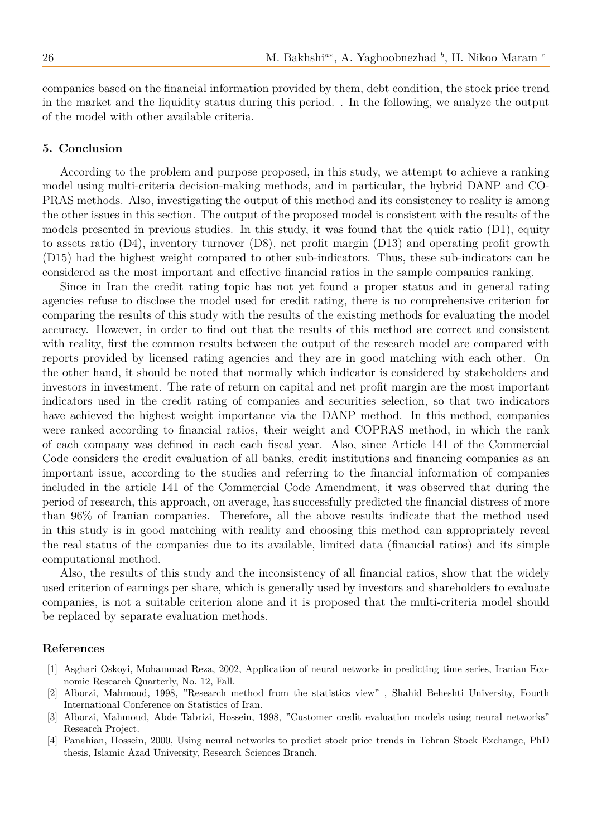companies based on the financial information provided by them, debt condition, the stock price trend in the market and the liquidity status during this period. . In the following, we analyze the output of the model with other available criteria.

## **5. Conclusion**

According to the problem and purpose proposed, in this study, we attempt to achieve a ranking model using multi-criteria decision-making methods, and in particular, the hybrid DANP and CO-PRAS methods. Also, investigating the output of this method and its consistency to reality is among the other issues in this section. The output of the proposed model is consistent with the results of the models presented in previous studies. In this study, it was found that the quick ratio (D1), equity to assets ratio (D4), inventory turnover (D8), net profit margin (D13) and operating profit growth (D15) had the highest weight compared to other sub-indicators. Thus, these sub-indicators can be considered as the most important and effective financial ratios in the sample companies ranking.

Since in Iran the credit rating topic has not yet found a proper status and in general rating agencies refuse to disclose the model used for credit rating, there is no comprehensive criterion for comparing the results of this study with the results of the existing methods for evaluating the model accuracy. However, in order to find out that the results of this method are correct and consistent with reality, first the common results between the output of the research model are compared with reports provided by licensed rating agencies and they are in good matching with each other. On the other hand, it should be noted that normally which indicator is considered by stakeholders and investors in investment. The rate of return on capital and net profit margin are the most important indicators used in the credit rating of companies and securities selection, so that two indicators have achieved the highest weight importance via the DANP method. In this method, companies were ranked according to financial ratios, their weight and COPRAS method, in which the rank of each company was defined in each each fiscal year. Also, since Article 141 of the Commercial Code considers the credit evaluation of all banks, credit institutions and financing companies as an important issue, according to the studies and referring to the financial information of companies included in the article 141 of the Commercial Code Amendment, it was observed that during the period of research, this approach, on average, has successfully predicted the financial distress of more than 96% of Iranian companies. Therefore, all the above results indicate that the method used in this study is in good matching with reality and choosing this method can appropriately reveal the real status of the companies due to its available, limited data (financial ratios) and its simple computational method.

Also, the results of this study and the inconsistency of all financial ratios, show that the widely used criterion of earnings per share, which is generally used by investors and shareholders to evaluate companies, is not a suitable criterion alone and it is proposed that the multi-criteria model should be replaced by separate evaluation methods.

#### **References**

- [1] Asghari Oskoyi, Mohammad Reza, 2002, Application of neural networks in predicting time series, Iranian Economic Research Quarterly, No. 12, Fall.
- [2] Alborzi, Mahmoud, 1998, "Research method from the statistics view" , Shahid Beheshti University, Fourth International Conference on Statistics of Iran.
- [3] Alborzi, Mahmoud, Abde Tabrizi, Hossein, 1998, "Customer credit evaluation models using neural networks" Research Project.
- [4] Panahian, Hossein, 2000, Using neural networks to predict stock price trends in Tehran Stock Exchange, PhD thesis, Islamic Azad University, Research Sciences Branch.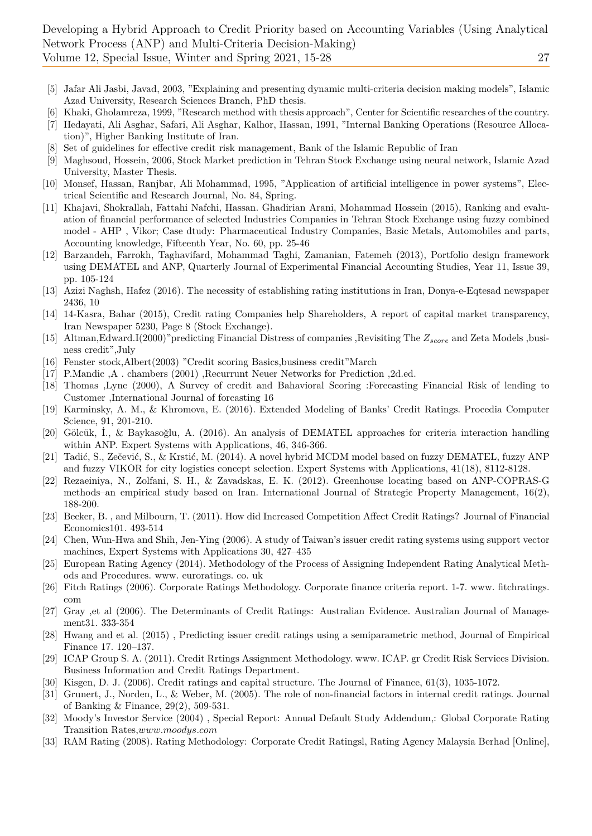- [5] Jafar Ali Jasbi, Javad, 2003, "Explaining and presenting dynamic multi-criteria decision making models", Islamic Azad University, Research Sciences Branch, PhD thesis.
- [6] Khaki, Gholamreza, 1999, "Research method with thesis approach", Center for Scientific researches of the country.
- [7] Hedayati, Ali Asghar, Safari, Ali Asghar, Kalhor, Hassan, 1991, "Internal Banking Operations (Resource Allocation)", Higher Banking Institute of Iran.
- Set of guidelines for effective credit risk management, Bank of the Islamic Republic of Iran
- [9] Maghsoud, Hossein, 2006, Stock Market prediction in Tehran Stock Exchange using neural network, Islamic Azad University, Master Thesis.
- [10] Monsef, Hassan, Ranjbar, Ali Mohammad, 1995, "Application of artificial intelligence in power systems", Electrical Scientific and Research Journal, No. 84, Spring.
- [11] Khajavi, Shokrallah, Fattahi Nafchi, Hassan. Ghadirian Arani, Mohammad Hossein (2015), Ranking and evaluation of financial performance of selected Industries Companies in Tehran Stock Exchange using fuzzy combined model - AHP , Vikor; Case dtudy: Pharmaceutical Industry Companies, Basic Metals, Automobiles and parts, Accounting knowledge, Fifteenth Year, No. 60, pp. 25-46
- [12] Barzandeh, Farrokh, Taghavifard, Mohammad Taghi, Zamanian, Fatemeh (2013), Portfolio design framework using DEMATEL and ANP, Quarterly Journal of Experimental Financial Accounting Studies, Year 11, Issue 39, pp. 105-124
- [13] Azizi Naghsh, Hafez (2016). The necessity of establishing rating institutions in Iran, Donya-e-Eqtesad newspaper 2436, 10
- [14] 14-Kasra, Bahar (2015), Credit rating Companies help Shareholders, A report of capital market transparency, Iran Newspaper 5230, Page 8 (Stock Exchange).
- [15] Altman,Edward.I(2000)"predicting Financial Distress of companies ,Revisiting The *Zscore* and Zeta Models ,business credit",July
- [16] Fenster stock,Albert(2003) "Credit scoring Basics,business credit"March
- [17] P.Mandic ,A . chambers (2001) ,Recurrunt Neuer Networks for Prediction ,2d.ed.
- [18] Thomas ,Lync (2000), A Survey of credit and Bahavioral Scoring :Forecasting Financial Risk of lending to Customer ,International Journal of forcasting 16
- [19] Karminsky, A. M., & Khromova, E. (2016). Extended Modeling of Banks' Credit Ratings. Procedia Computer Science, 91, 201-210.
- [20] Gölcük, İ., & Baykasoğlu, A. (2016). An analysis of DEMATEL approaches for criteria interaction handling within ANP. Expert Systems with Applications, 46, 346-366.
- [21] Tadić, S., Zečević, S., & Krstić, M. (2014). A novel hybrid MCDM model based on fuzzy DEMATEL, fuzzy ANP and fuzzy VIKOR for city logistics concept selection. Expert Systems with Applications, 41(18), 8112-8128.
- [22] Rezaeiniya, N., Zolfani, S. H., & Zavadskas, E. K. (2012). Greenhouse locating based on ANP-COPRAS-G methods–an empirical study based on Iran. International Journal of Strategic Property Management, 16(2), 188-200.
- [23] Becker, B. , and Milbourn, T. (2011). How did Increased Competition Affect Credit Ratings? Journal of Financial Economics101. 493-514
- [24] Chen, Wun-Hwa and Shih, Jen-Ying (2006). A study of Taiwan's issuer credit rating systems using support vector machines, Expert Systems with Applications 30, 427–435
- [25] European Rating Agency (2014). Methodology of the Process of Assigning Independent Rating Analytical Methods and Procedures. www. euroratings. co. uk
- [26] Fitch Ratings (2006). Corporate Ratings Methodology. Corporate finance criteria report. 1-7. www. fitchratings. com
- [27] Gray ,et al (2006). The Determinants of Credit Ratings: Australian Evidence. Australian Journal of Management31. 333-354
- [28] Hwang and et al. (2015) , Predicting issuer credit ratings using a semiparametric method, Journal of Empirical Finance 17. 120–137.
- [29] ICAP Group S. A. (2011). Credit Rrtings Assignment Methodology. www. ICAP. gr Credit Risk Services Division. Business Information and Credit Ratings Department.
- [30] Kisgen, D. J. (2006). Credit ratings and capital structure. The Journal of Finance, 61(3), 1035-1072.
- [31] Grunert, J., Norden, L., & Weber, M. (2005). The role of non-financial factors in internal credit ratings. Journal of Banking & Finance, 29(2), 509-531.
- [32] Moody's Investor Service (2004) , Special Report: Annual Default Study Addendum,: Global Corporate Rating Transition Rates,*www.moodys.com*
- [33] RAM Rating (2008). Rating Methodology: Corporate Credit Ratingsl, Rating Agency Malaysia Berhad [Online],